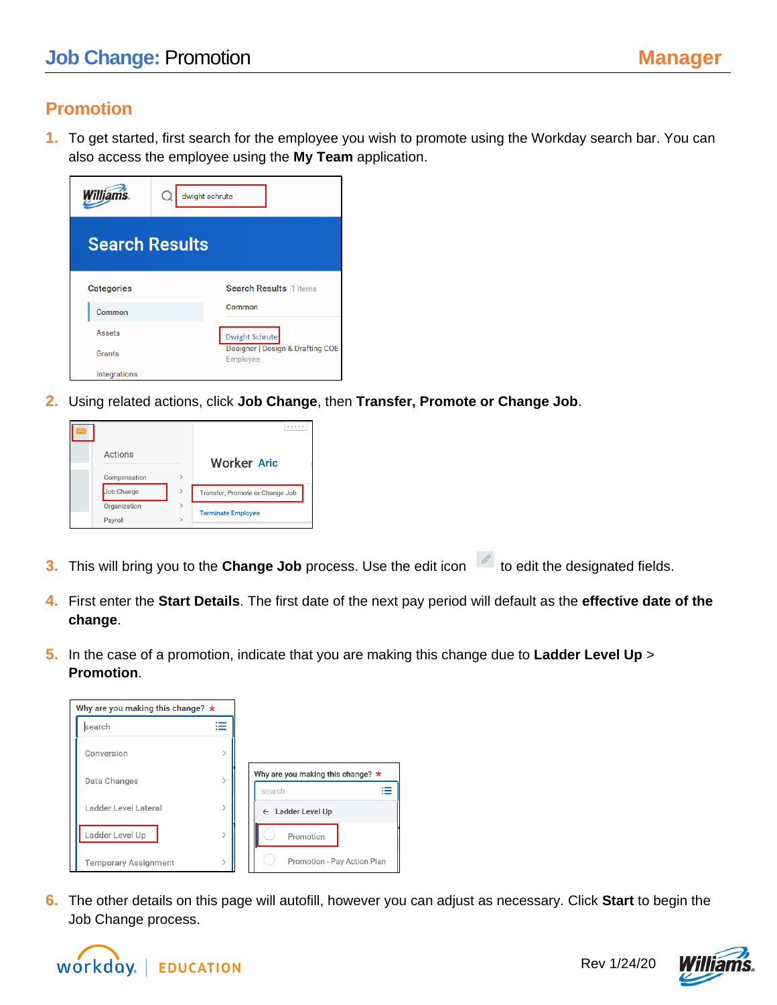## **Promotion**

**1.** To get started, first search for the employee you wish to promote using the Workday search bar. You can also access the employee using the **My Team** application.

| <b>Williams</b>       | dwight schrute |                                              |
|-----------------------|----------------|----------------------------------------------|
| <b>Search Results</b> |                |                                              |
| <b>Categories</b>     |                | <b>Search Results</b> 1 items                |
| Common                |                | Common                                       |
| Assets                |                | <b>Dwight Schrute</b>                        |
| Grants                |                | Designer   Design & Drafting COE<br>Employee |
| Integrations          |                |                                              |

**2.** Using related actions, click **Job Change**, then **Transfer, Promote or Change Job**.



- **3.** This will bring you to the **Change Job** process. Use the edit icon **the designated fields**.
- **4.** First enter the **Start Details**. The first date of the next pay period will default as the **effective date of the change**.
- **5.** In the case of a promotion, indicate that you are making this change due to **Ladder Level Up** > **Promotion**.



**6.** The other details on this page will autofill, however you can adjust as necessary. Click **Start** to begin the Job Change process.





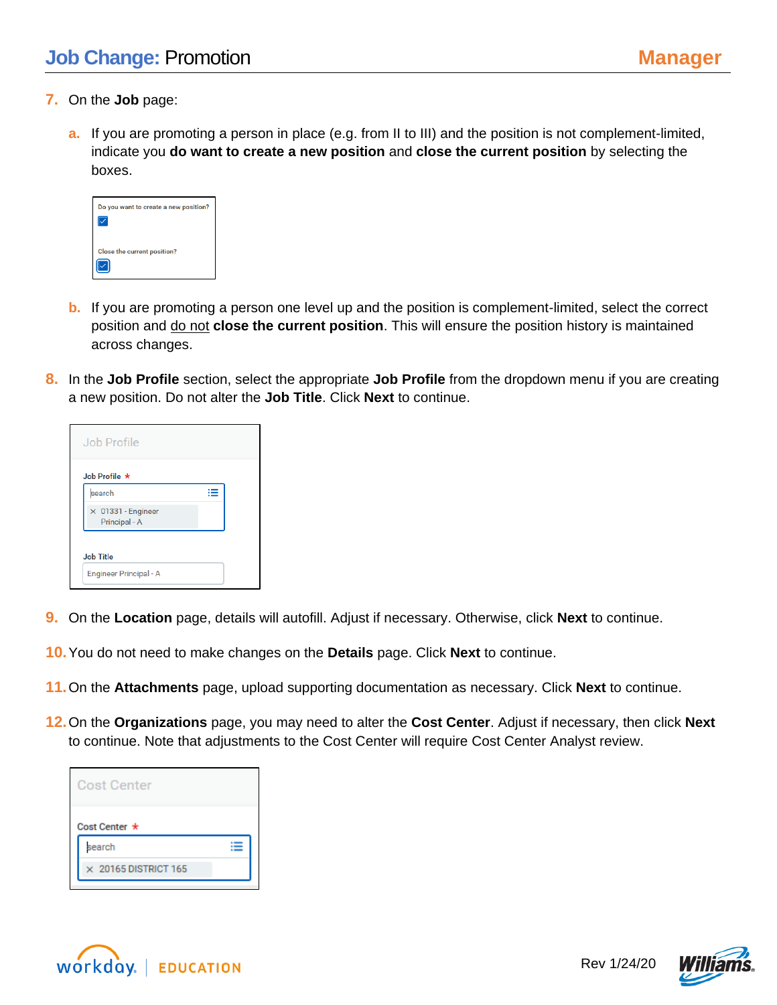- **7.** On the **Job** page:
	- **a.** If you are promoting a person in place (e.g. from II to III) and the position is not complement-limited, indicate you **do want to create a new position** and **close the current position** by selecting the boxes.

| Do you want to create a new position? |  |
|---------------------------------------|--|
| <b>Close the current position?</b>    |  |

- **b.** If you are promoting a person one level up and the position is complement-limited, select the correct position and do not **close the current position**. This will ensure the position history is maintained across changes.
- **8.** In the **Job Profile** section, select the appropriate **Job Profile** from the dropdown menu if you are creating a new position. Do not alter the **Job Title**. Click **Next** to continue.

| Job Profile                                |  |
|--------------------------------------------|--|
| Job Profile $\star$                        |  |
| search                                     |  |
| $\times$ 01331 - Engineer<br>Principal - A |  |
| <b>Job Title</b><br>Engineer Principal - A |  |

- **9.** On the **Location** page, details will autofill. Adjust if necessary. Otherwise, click **Next** to continue.
- **10.**You do not need to make changes on the **Details** page. Click **Next** to continue.
- **11.**On the **Attachments** page, upload supporting documentation as necessary. Click **Next** to continue.
- **12.**On the **Organizations** page, you may need to alter the **Cost Center**. Adjust if necessary, then click **Next** to continue. Note that adjustments to the Cost Center will require Cost Center Analyst review.

| <b>Cost Center</b>          |  |  |  |  |
|-----------------------------|--|--|--|--|
| Cost Center *               |  |  |  |  |
| search                      |  |  |  |  |
| $\times$ 20165 DISTRICT 165 |  |  |  |  |



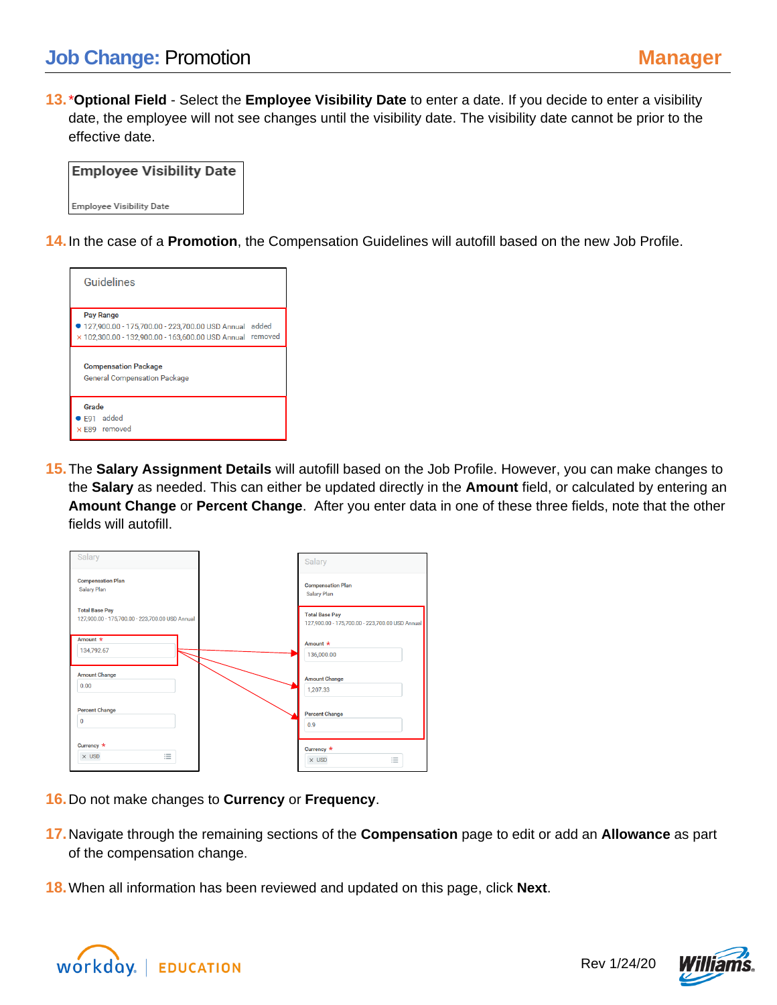**13.**\***Optional Field** - Select the **Employee Visibility Date** to enter a date. If you decide to enter a visibility date, the employee will not see changes until the visibility date. The visibility date cannot be prior to the effective date.

| <b>Employee Visibility Date</b> |
|---------------------------------|
| Emplovee Visibility Date        |

**14.**In the case of a **Promotion**, the Compensation Guidelines will autofill based on the new Job Profile.



**15.**The **Salary Assignment Details** will autofill based on the Job Profile. However, you can make changes to the **Salary** as needed. This can either be updated directly in the **Amount** field, or calculated by entering an **Amount Change** or **Percent Change**. After you enter data in one of these three fields, note that the other fields will autofill.

| Salary                                                                   | Salary                                                                   |
|--------------------------------------------------------------------------|--------------------------------------------------------------------------|
| <b>Compensation Plan</b><br><b>Salary Plan</b>                           | <b>Compensation Plan</b><br>Salary Plan                                  |
| <b>Total Base Pay</b><br>127,900.00 - 175,700.00 - 223,700.00 USD Annual | <b>Total Base Pay</b><br>127,900.00 - 175,700.00 - 223,700.00 USD Annual |
| Amount *<br>134,792.67                                                   | Amount $\star$                                                           |
|                                                                          | 136,000.00                                                               |
| <b>Amount Change</b>                                                     | <b>Amount Change</b>                                                     |
| 0.00                                                                     | 1,207.33                                                                 |
| <b>Percent Change</b>                                                    | <b>Percent Change</b>                                                    |
| $\mathbf 0$                                                              | 0.9                                                                      |
| Currency *                                                               | Currency *                                                               |
| 洼<br>$\times$ USD                                                        | 這<br>$\times$ USD                                                        |

- **16.**Do not make changes to **Currency** or **Frequency**.
- **17.**Navigate through the remaining sections of the **Compensation** page to edit or add an **Allowance** as part of the compensation change.
- **18.**When all information has been reviewed and updated on this page, click **Next**.